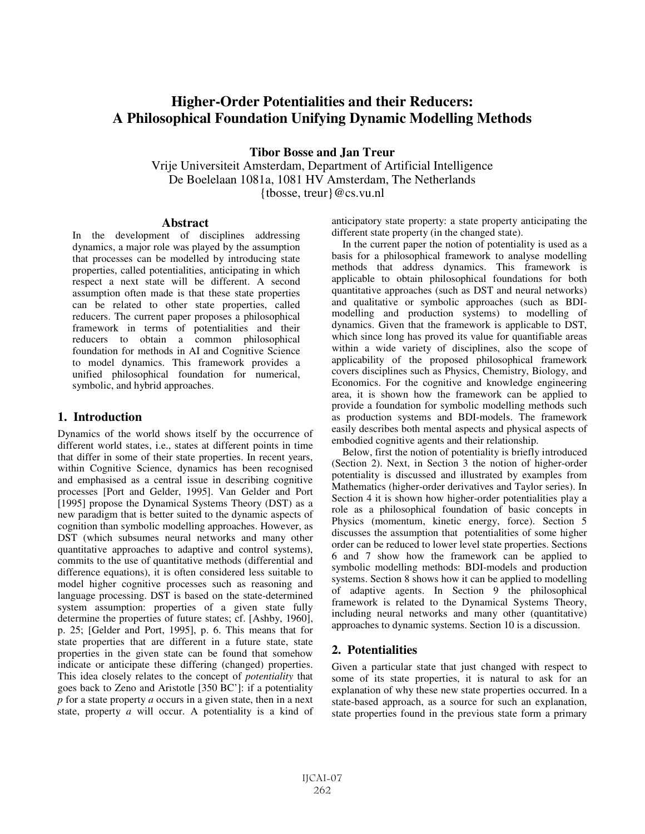# **Higher-Order Potentialities and their Reducers: A Philosophical Foundation Unifying Dynamic Modelling Methods**

**Tibor Bosse and Jan Treur** 

Vrije Universiteit Amsterdam, Department of Artificial Intelligence De Boelelaan 1081a, 1081 HV Amsterdam, The Netherlands {tbosse, treur}@cs.vu.nl

#### **Abstract**

In the development of disciplines addressing dynamics, a major role was played by the assumption that processes can be modelled by introducing state properties, called potentialities, anticipating in which respect a next state will be different. A second assumption often made is that these state properties can be related to other state properties, called reducers. The current paper proposes a philosophical framework in terms of potentialities and their reducers to obtain a common philosophical foundation for methods in AI and Cognitive Science to model dynamics. This framework provides a unified philosophical foundation for numerical, symbolic, and hybrid approaches.

### **1. Introduction**

Dynamics of the world shows itself by the occurrence of different world states, i.e., states at different points in time that differ in some of their state properties. In recent years, within Cognitive Science, dynamics has been recognised and emphasised as a central issue in describing cognitive processes [Port and Gelder, 1995]. Van Gelder and Port [1995] propose the Dynamical Systems Theory (DST) as a new paradigm that is better suited to the dynamic aspects of cognition than symbolic modelling approaches. However, as DST (which subsumes neural networks and many other quantitative approaches to adaptive and control systems), commits to the use of quantitative methods (differential and difference equations), it is often considered less suitable to model higher cognitive processes such as reasoning and language processing. DST is based on the state-determined system assumption: properties of a given state fully determine the properties of future states; cf. [Ashby, 1960], p. 25; [Gelder and Port, 1995], p. 6. This means that for state properties that are different in a future state, state properties in the given state can be found that somehow indicate or anticipate these differing (changed) properties. This idea closely relates to the concept of *potentiality* that goes back to Zeno and Aristotle [350 BC']: if a potentiality *p* for a state property *a* occurs in a given state, then in a next state, property *a* will occur. A potentiality is a kind of

anticipatory state property: a state property anticipating the different state property (in the changed state).

In the current paper the notion of potentiality is used as a basis for a philosophical framework to analyse modelling methods that address dynamics. This framework is applicable to obtain philosophical foundations for both quantitative approaches (such as DST and neural networks) and qualitative or symbolic approaches (such as BDImodelling and production systems) to modelling of dynamics. Given that the framework is applicable to DST, which since long has proved its value for quantifiable areas within a wide variety of disciplines, also the scope of applicability of the proposed philosophical framework covers disciplines such as Physics, Chemistry, Biology, and Economics. For the cognitive and knowledge engineering area, it is shown how the framework can be applied to provide a foundation for symbolic modelling methods such as production systems and BDI-models. The framework easily describes both mental aspects and physical aspects of embodied cognitive agents and their relationship.

Below, first the notion of potentiality is briefly introduced (Section 2). Next, in Section 3 the notion of higher-order potentiality is discussed and illustrated by examples from Mathematics (higher-order derivatives and Taylor series). In Section 4 it is shown how higher-order potentialities play a role as a philosophical foundation of basic concepts in Physics (momentum, kinetic energy, force). Section 5 discusses the assumption that potentialities of some higher order can be reduced to lower level state properties. Sections 6 and 7 show how the framework can be applied to symbolic modelling methods: BDI-models and production systems. Section 8 shows how it can be applied to modelling of adaptive agents. In Section 9 the philosophical framework is related to the Dynamical Systems Theory, including neural networks and many other (quantitative) approaches to dynamic systems. Section 10 is a discussion.

# **2. Potentialities**

Given a particular state that just changed with respect to some of its state properties, it is natural to ask for an explanation of why these new state properties occurred. In a state-based approach, as a source for such an explanation, state properties found in the previous state form a primary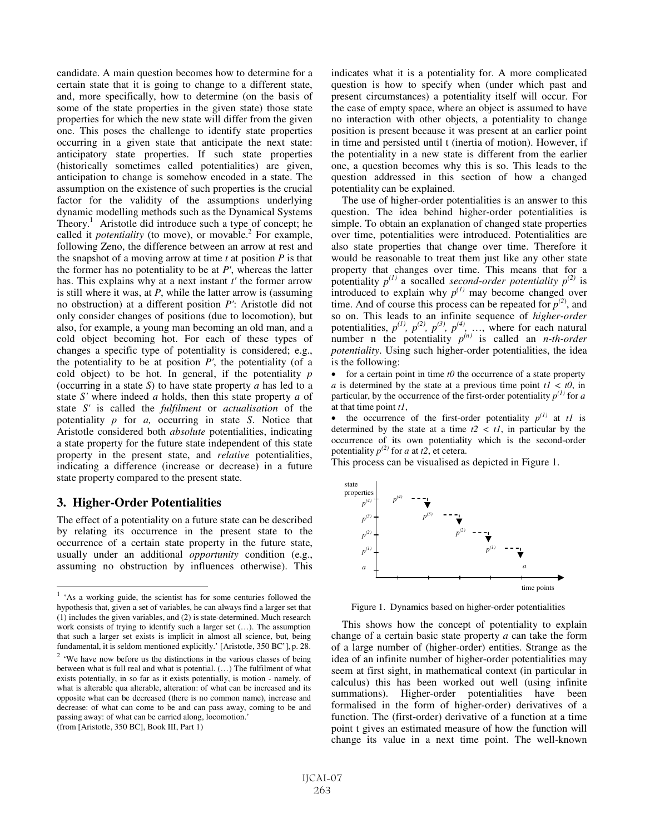candidate. A main question becomes how to determine for a certain state that it is going to change to a different state, and, more specifically, how to determine (on the basis of some of the state properties in the given state) those state properties for which the new state will differ from the given one. This poses the challenge to identify state properties occurring in a given state that anticipate the next state: anticipatory state properties. If such state properties (historically sometimes called potentialities) are given, anticipation to change is somehow encoded in a state. The assumption on the existence of such properties is the crucial factor for the validity of the assumptions underlying dynamic modelling methods such as the Dynamical Systems Theory.<sup>1</sup> Aristotle did introduce such a type of concept; he called it *potentiality* (to move), or movable.<sup>2</sup> For example, following Zeno, the difference between an arrow at rest and the snapshot of a moving arrow at time *t* at position *P* is that the former has no potentiality to be at *P'*, whereas the latter has. This explains why at a next instant *t'* the former arrow is still where it was, at *P*, while the latter arrow is (assuming no obstruction) at a different position *P'*: Aristotle did not only consider changes of positions (due to locomotion), but also, for example, a young man becoming an old man, and a cold object becoming hot. For each of these types of changes a specific type of potentiality is considered; e.g., the potentiality to be at position  $P'$ , the potentiality (of a cold object) to be hot. In general, if the potentiality *p* (occurring in a state *S*) to have state property *a* has led to a state *S'* where indeed *a* holds, then this state property *a* of state *S'* is called the *fulfilment* or *actualisation* of the potentiality *p* for *a,* occurring in state *S*. Notice that Aristotle considered both *absolute* potentialities, indicating a state property for the future state independent of this state property in the present state, and *relative* potentialities, indicating a difference (increase or decrease) in a future state property compared to the present state.

## **3. Higher-Order Potentialities**

 $\overline{a}$ 

The effect of a potentiality on a future state can be described by relating its occurrence in the present state to the occurrence of a certain state property in the future state, usually under an additional *opportunity* condition (e.g., assuming no obstruction by influences otherwise). This

(from [Aristotle, 350 BC], Book III, Part 1)

indicates what it is a potentiality for. A more complicated question is how to specify when (under which past and present circumstances) a potentiality itself will occur. For the case of empty space, where an object is assumed to have no interaction with other objects, a potentiality to change position is present because it was present at an earlier point in time and persisted until t (inertia of motion). However, if the potentiality in a new state is different from the earlier one, a question becomes why this is so. This leads to the question addressed in this section of how a changed potentiality can be explained.

The use of higher-order potentialities is an answer to this question. The idea behind higher-order potentialities is simple. To obtain an explanation of changed state properties over time, potentialities were introduced. Potentialities are also state properties that change over time. Therefore it would be reasonable to treat them just like any other state property that changes over time. This means that for a potentiality  $p^{(1)}$  a socalled *second-order potentiality*  $p^{(2)}$  is introduced to explain why  $p^{(1)}$  may become changed over time. And of course this process can be repeated for  $p^{(2)}$ , and so on. This leads to an infinite sequence of *higher-order* potentialities,  $p^{(1)}$ ,  $p^{(2)}$ ,  $p^{(3)}$ ,  $p^{(4)}$ , ..., where for each natural number n the potentiality  $p^{(n)}$  is called an *n-th-order potentiality*. Using such higher-order potentialities, the idea is the following:

• for a certain point in time  $t\theta$  the occurrence of a state property *a* is determined by the state at a previous time point  $tI < t0$ , in particular, by the occurrence of the first-order potentiality  $p^{(1)}$  for *a* at that time point *t1*,

• the occurrence of the first-order potentiality  $p^{(1)}$  at *t1* is determined by the state at a time  $t2 < t1$ , in particular by the occurrence of its own potentiality which is the second-order potentiality  $p^{(2)}$  for *a* at *t*2, et cetera.

This process can be visualised as depicted in Figure 1.



Figure 1. Dynamics based on higher-order potentialities

This shows how the concept of potentiality to explain change of a certain basic state property *a* can take the form of a large number of (higher-order) entities. Strange as the idea of an infinite number of higher-order potentialities may seem at first sight, in mathematical context (in particular in calculus) this has been worked out well (using infinite summations). Higher-order potentialities have been formalised in the form of higher-order) derivatives of a function. The (first-order) derivative of a function at a time point t gives an estimated measure of how the function will change its value in a next time point. The well-known

<sup>1</sup> 'As a working guide, the scientist has for some centuries followed the hypothesis that, given a set of variables, he can always find a larger set that (1) includes the given variables, and (2) is state-determined. Much research work consists of trying to identify such a larger set (…). The assumption that such a larger set exists is implicit in almost all science, but, being fundamental, it is seldom mentioned explicitly.' [Aristotle, 350 BC'], p. 28.

 $2$  'We have now before us the distinctions in the various classes of being between what is full real and what is potential. (…) The fulfilment of what exists potentially, in so far as it exists potentially, is motion - namely, of what is alterable qua alterable, alteration: of what can be increased and its opposite what can be decreased (there is no common name), increase and decrease: of what can come to be and can pass away, coming to be and passing away: of what can be carried along, locomotion.'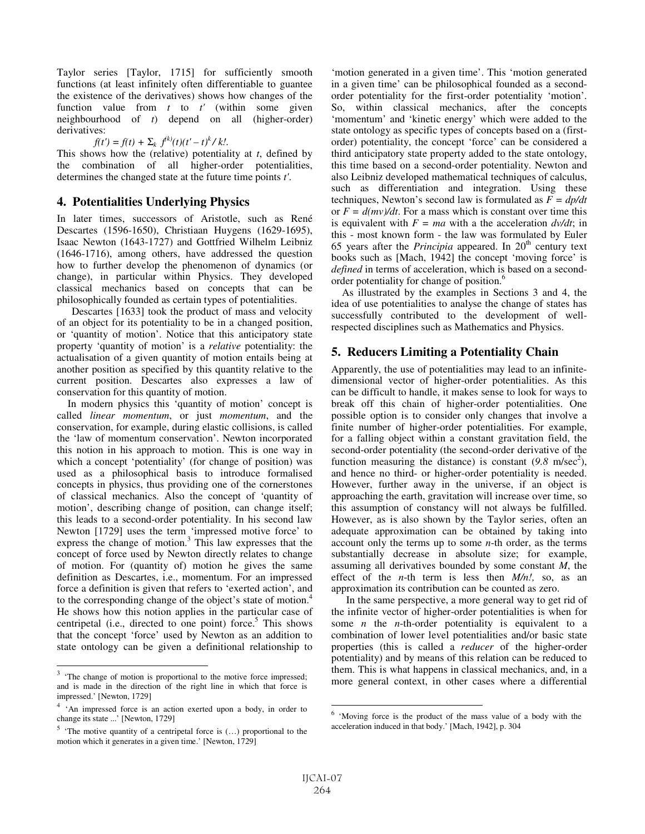Taylor series [Taylor, 1715] for sufficiently smooth functions (at least infinitely often differentiable to guantee the existence of the derivatives) shows how changes of the function value from *t* to *t'* (within some given neighbourhood of *t*) depend on all (higher-order) derivatives:

$$
f(t') = f(t) + \sum_{k} f^{(k)}(t)(t'-t)^{k} / k!.
$$

This shows how the (relative) potentiality at *t*, defined by the combination of all higher-order potentialities, determines the changed state at the future time points *t'*.

## **4. Potentialities Underlying Physics**

In later times, successors of Aristotle, such as René Descartes (1596-1650), Christiaan Huygens (1629-1695), Isaac Newton (1643-1727) and Gottfried Wilhelm Leibniz (1646-1716), among others, have addressed the question how to further develop the phenomenon of dynamics (or change), in particular within Physics. They developed classical mechanics based on concepts that can be philosophically founded as certain types of potentialities.

 Descartes [1633] took the product of mass and velocity of an object for its potentiality to be in a changed position, or 'quantity of motion'. Notice that this anticipatory state property 'quantity of motion' is a *relative* potentiality: the actualisation of a given quantity of motion entails being at another position as specified by this quantity relative to the current position. Descartes also expresses a law of conservation for this quantity of motion.

In modern physics this 'quantity of motion' concept is called *linear momentum*, or just *momentum*, and the conservation, for example, during elastic collisions, is called the 'law of momentum conservation'. Newton incorporated this notion in his approach to motion. This is one way in which a concept 'potentiality' (for change of position) was used as a philosophical basis to introduce formalised concepts in physics, thus providing one of the cornerstones of classical mechanics. Also the concept of 'quantity of motion', describing change of position, can change itself; this leads to a second-order potentiality. In his second law Newton [1729] uses the term 'impressed motive force' to express the change of motion.<sup>3</sup> This law expresses that the concept of force used by Newton directly relates to change of motion. For (quantity of) motion he gives the same definition as Descartes, i.e., momentum. For an impressed force a definition is given that refers to 'exerted action', and to the corresponding change of the object's state of motion.<sup>4</sup> He shows how this notion applies in the particular case of centripetal (i.e., directed to one point) force.<sup>5</sup> This shows that the concept 'force' used by Newton as an addition to state ontology can be given a definitional relationship to

-

'motion generated in a given time'. This 'motion generated in a given time' can be philosophical founded as a secondorder potentiality for the first-order potentiality 'motion'. So, within classical mechanics, after the concepts 'momentum' and 'kinetic energy' which were added to the state ontology as specific types of concepts based on a (firstorder) potentiality, the concept 'force' can be considered a third anticipatory state property added to the state ontology, this time based on a second-order potentiality. Newton and also Leibniz developed mathematical techniques of calculus, such as differentiation and integration. Using these techniques, Newton's second law is formulated as *F = dp/dt* or  $F = d(mv)/dt$ . For a mass which is constant over time this is equivalent with  $F = ma$  with a the acceleration  $dv/dt$ ; in this - most known form - the law was formulated by Euler 65 years after the *Principia* appeared. In 20<sup>th</sup> century text books such as [Mach, 1942] the concept 'moving force' is *defined* in terms of acceleration, which is based on a secondorder potentiality for change of position.<sup>6</sup>

As illustrated by the examples in Sections 3 and 4, the idea of use potentialities to analyse the change of states has successfully contributed to the development of wellrespected disciplines such as Mathematics and Physics.

# **5. Reducers Limiting a Potentiality Chain**

Apparently, the use of potentialities may lead to an infinitedimensional vector of higher-order potentialities. As this can be difficult to handle, it makes sense to look for ways to break off this chain of higher-order potentialities. One possible option is to consider only changes that involve a finite number of higher-order potentialities. For example, for a falling object within a constant gravitation field, the second-order potentiality (the second-order derivative of the function measuring the distance) is constant  $(9.8 \text{ m/sec}^2)$ , and hence no third- or higher-order potentiality is needed. However, further away in the universe, if an object is approaching the earth, gravitation will increase over time, so this assumption of constancy will not always be fulfilled. However, as is also shown by the Taylor series, often an adequate approximation can be obtained by taking into account only the terms up to some *n*-th order, as the terms substantially decrease in absolute size; for example, assuming all derivatives bounded by some constant *M*, the effect of the *n*-th term is less then *M/n!,* so, as an approximation its contribution can be counted as zero.

 In the same perspective, a more general way to get rid of the infinite vector of higher-order potentialities is when for some *n* the *n*-th-order potentiality is equivalent to a combination of lower level potentialities and/or basic state properties (this is called a *reducer* of the higher-order potentiality) and by means of this relation can be reduced to them. This is what happens in classical mechanics, and, in a more general context, in other cases where a differential

-

 $3$  'The change of motion is proportional to the motive force impressed; and is made in the direction of the right line in which that force is impressed.' [Newton, 1729]

<sup>4</sup> 'An impressed force is an action exerted upon a body, in order to change its state ...' [Newton, 1729]

 $5$  'The motive quantity of a centripetal force is  $(...)$  proportional to the motion which it generates in a given time.' [Newton, 1729]

<sup>6</sup> 'Moving force is the product of the mass value of a body with the acceleration induced in that body.' [Mach, 1942], p. 304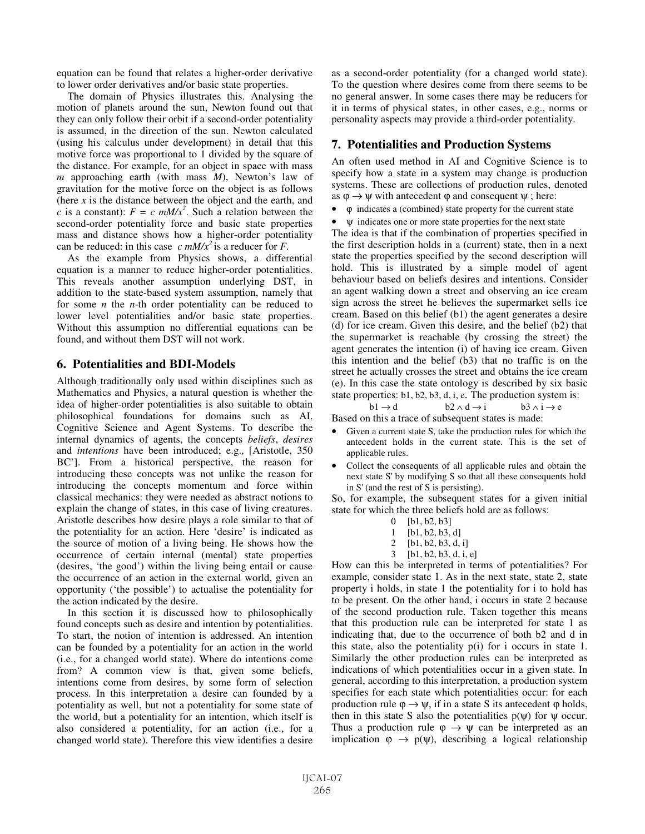equation can be found that relates a higher-order derivative to lower order derivatives and/or basic state properties.

The domain of Physics illustrates this. Analysing the motion of planets around the sun, Newton found out that they can only follow their orbit if a second-order potentiality is assumed, in the direction of the sun. Newton calculated (using his calculus under development) in detail that this motive force was proportional to 1 divided by the square of the distance. For example, for an object in space with mass *m* approaching earth (with mass *M*), Newton's law of gravitation for the motive force on the object is as follows (here *x* is the distance between the object and the earth, and *c* is a constant):  $F = c \frac{mM}{x^2}$ . Such a relation between the second-order potentiality force and basic state properties mass and distance shows how a higher-order potentiality can be reduced: in this case  $c \, mM/x^2$  is a reducer for *F*.

As the example from Physics shows, a differential equation is a manner to reduce higher-order potentialities. This reveals another assumption underlying DST, in addition to the state-based system assumption, namely that for some *n* the *n*-th order potentiality can be reduced to lower level potentialities and/or basic state properties. Without this assumption no differential equations can be found, and without them DST will not work.

## **6. Potentialities and BDI-Models**

Although traditionally only used within disciplines such as Mathematics and Physics, a natural question is whether the idea of higher-order potentialities is also suitable to obtain philosophical foundations for domains such as AI, Cognitive Science and Agent Systems. To describe the internal dynamics of agents, the concepts *beliefs*, *desires*  and *intentions* have been introduced; e.g., [Aristotle, 350 BC']. From a historical perspective, the reason for introducing these concepts was not unlike the reason for introducing the concepts momentum and force within classical mechanics: they were needed as abstract notions to explain the change of states, in this case of living creatures. Aristotle describes how desire plays a role similar to that of the potentiality for an action. Here 'desire' is indicated as the source of motion of a living being. He shows how the occurrence of certain internal (mental) state properties (desires, 'the good') within the living being entail or cause the occurrence of an action in the external world, given an opportunity ('the possible') to actualise the potentiality for the action indicated by the desire.

In this section it is discussed how to philosophically found concepts such as desire and intention by potentialities. To start, the notion of intention is addressed. An intention can be founded by a potentiality for an action in the world (i.e., for a changed world state). Where do intentions come from? A common view is that, given some beliefs, intentions come from desires, by some form of selection process. In this interpretation a desire can founded by a potentiality as well, but not a potentiality for some state of the world, but a potentiality for an intention, which itself is also considered a potentiality, for an action (i.e., for a changed world state). Therefore this view identifies a desire as a second-order potentiality (for a changed world state). To the question where desires come from there seems to be no general answer. In some cases there may be reducers for it in terms of physical states, in other cases, e.g., norms or personality aspects may provide a third-order potentiality.

# **7. Potentialities and Production Systems**

An often used method in AI and Cognitive Science is to specify how a state in a system may change is production systems. These are collections of production rules, denoted as  $\varphi \rightarrow \psi$  with antecedent  $\varphi$  and consequent  $\psi$ ; here:

- $\varphi$  indicates a (combined) state property for the current state
- $\Psi$  indicates one or more state properties for the next state

The idea is that if the combination of properties specified in the first description holds in a (current) state, then in a next state the properties specified by the second description will hold. This is illustrated by a simple model of agent behaviour based on beliefs desires and intentions. Consider an agent walking down a street and observing an ice cream sign across the street he believes the supermarket sells ice cream. Based on this belief (b1) the agent generates a desire (d) for ice cream. Given this desire, and the belief (b2) that the supermarket is reachable (by crossing the street) the agent generates the intention (i) of having ice cream. Given this intention and the belief (b3) that no traffic is on the street he actually crosses the street and obtains the ice cream (e). In this case the state ontology is described by six basic state properties: b1, b2, b3, d, i, e. The production system is:

$$
b1 \rightarrow d \qquad b2 \land d \rightarrow i \qquad b3 \land i \rightarrow e
$$

Based on this a trace of subsequent states is made:

- Given a current state S, take the production rules for which the antecedent holds in the current state. This is the set of applicable rules.
- Collect the consequents of all applicable rules and obtain the next state S' by modifying S so that all these consequents hold in S' (and the rest of S is persisting).

So, for example, the subsequent states for a given initial state for which the three beliefs hold are as follows:

- 0 [b1, b2, b3]
- 1 [b1, b2, b3, d]
- 2 [b1, b2, b3, d, i]
- 3 [b1, b2, b3, d, i, e]

How can this be interpreted in terms of potentialities? For example, consider state 1. As in the next state, state 2, state property i holds, in state 1 the potentiality for i to hold has to be present. On the other hand, i occurs in state 2 because of the second production rule. Taken together this means that this production rule can be interpreted for state 1 as indicating that, due to the occurrence of both b2 and d in this state, also the potentiality p(i) for i occurs in state 1. Similarly the other production rules can be interpreted as indications of which potentialities occur in a given state. In general, according to this interpretation, a production system specifies for each state which potentialities occur: for each production rule  $\varphi \rightarrow \psi$ , if in a state S its antecedent  $\varphi$  holds, then in this state S also the potentialities  $p(\psi)$  for  $\psi$  occur. Thus a production rule  $\varphi \to \psi$  can be interpreted as an implication  $\varphi \to p(\psi)$ , describing a logical relationship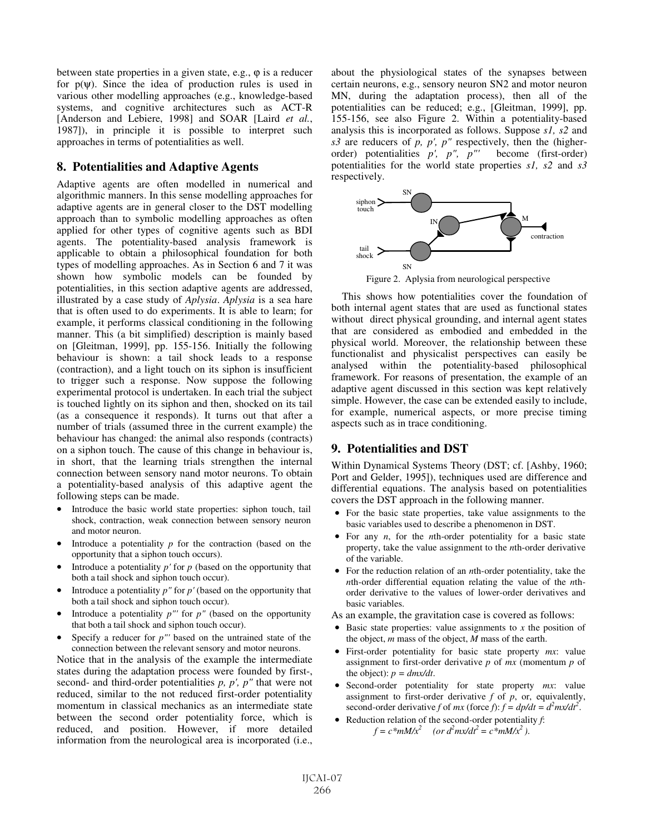between state properties in a given state, e.g., ϕ is a reducer for  $p(\psi)$ . Since the idea of production rules is used in various other modelling approaches (e.g., knowledge-based systems, and cognitive architectures such as ACT-R [Anderson and Lebiere, 1998] and SOAR [Laird *et al.*, 1987]), in principle it is possible to interpret such approaches in terms of potentialities as well.

## **8. Potentialities and Adaptive Agents**

Adaptive agents are often modelled in numerical and algorithmic manners. In this sense modelling approaches for adaptive agents are in general closer to the DST modelling approach than to symbolic modelling approaches as often applied for other types of cognitive agents such as BDI agents. The potentiality-based analysis framework is applicable to obtain a philosophical foundation for both types of modelling approaches. As in Section 6 and 7 it was shown how symbolic models can be founded by potentialities, in this section adaptive agents are addressed, illustrated by a case study of *Aplysia*. *Aplysia* is a sea hare that is often used to do experiments. It is able to learn; for example, it performs classical conditioning in the following manner. This (a bit simplified) description is mainly based on [Gleitman, 1999], pp. 155-156. Initially the following behaviour is shown: a tail shock leads to a response (contraction), and a light touch on its siphon is insufficient to trigger such a response. Now suppose the following experimental protocol is undertaken. In each trial the subject is touched lightly on its siphon and then, shocked on its tail (as a consequence it responds). It turns out that after a number of trials (assumed three in the current example) the behaviour has changed: the animal also responds (contracts) on a siphon touch. The cause of this change in behaviour is, in short, that the learning trials strengthen the internal connection between sensory nand motor neurons. To obtain a potentiality-based analysis of this adaptive agent the following steps can be made.

- Introduce the basic world state properties: siphon touch, tail shock, contraction, weak connection between sensory neuron and motor neuron.
- Introduce a potentiality  $p$  for the contraction (based on the opportunity that a siphon touch occurs).
- Introduce a potentiality *p'* for *p* (based on the opportunity that both a tail shock and siphon touch occur).
- Introduce a potentiality  $p''$  for  $p'$  (based on the opportunity that both a tail shock and siphon touch occur).
- Introduce a potentiality  $p''$  for  $p''$  (based on the opportunity that both a tail shock and siphon touch occur).
- Specify a reducer for  $p''$  based on the untrained state of the connection between the relevant sensory and motor neurons.

Notice that in the analysis of the example the intermediate states during the adaptation process were founded by first-, second- and third-order potentialities *p, p', p"* that were not reduced, similar to the not reduced first-order potentiality momentum in classical mechanics as an intermediate state between the second order potentiality force, which is reduced, and position. However, if more detailed information from the neurological area is incorporated (i.e., about the physiological states of the synapses between certain neurons, e.g., sensory neuron SN2 and motor neuron MN, during the adaptation process), then all of the potentialities can be reduced; e.g., [Gleitman, 1999], pp. 155-156, see also Figure 2. Within a potentiality-based analysis this is incorporated as follows. Suppose *s1, s2* and *s3* are reducers of *p, p', p"* respectively, then the (higherorder) potentialities *p', p", p"'* become (first-order) potentialities for the world state properties *s1, s2* and *s3* respectively.



Figure 2. Aplysia from neurological perspective

This shows how potentialities cover the foundation of both internal agent states that are used as functional states without direct physical grounding, and internal agent states that are considered as embodied and embedded in the physical world. Moreover, the relationship between these functionalist and physicalist perspectives can easily be analysed within the potentiality-based philosophical framework. For reasons of presentation, the example of an adaptive agent discussed in this section was kept relatively simple. However, the case can be extended easily to include, for example, numerical aspects, or more precise timing aspects such as in trace conditioning.

# **9. Potentialities and DST**

Within Dynamical Systems Theory (DST; cf. [Ashby, 1960; Port and Gelder, 1995]), techniques used are difference and differential equations. The analysis based on potentialities covers the DST approach in the following manner.

- For the basic state properties, take value assignments to the basic variables used to describe a phenomenon in DST.
- For any *n*, for the *n*th-order potentiality for a basic state property, take the value assignment to the *n*th-order derivative of the variable.
- For the reduction relation of an *n*th-order potentiality, take the *n*th-order differential equation relating the value of the *n*thorder derivative to the values of lower-order derivatives and basic variables.
- As an example, the gravitation case is covered as follows:
- Basic state properties: value assignments to *x* the position of the object, *m* mass of the object, *M* mass of the earth.
- First-order potentiality for basic state property *mx*: value assignment to first-order derivative *p* of *mx* (momentum *p* of the object):  $p = \frac{dmx}{dt}$ .
- Second-order potentiality for state property *mx*: value assignment to first-order derivative *f* of *p*, or, equivalently, second-order derivative *f* of *mx* (force *f*):  $f = dp/dt = d^2 m x/dt^2$ .
- Reduction relation of the second*-*order potentiality *f*:  $f = c^*mM/x^2$  (or  $d^2mx/dt^2 = c^*mM/x^2$ ).